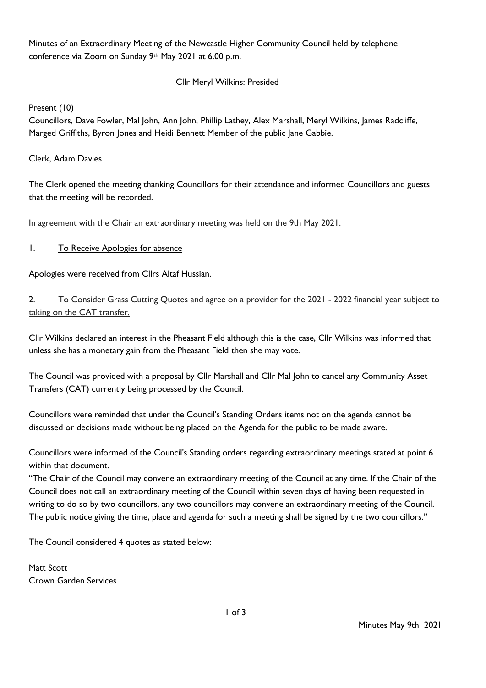Minutes of an Extraordinary Meeting of the Newcastle Higher Community Council held by telephone conference via Zoom on Sunday 9th May 2021 at 6.00 p.m.

## Cllr Meryl Wilkins: Presided

Present (10)

Councillors, Dave Fowler, Mal John, Ann John, Phillip Lathey, Alex Marshall, Meryl Wilkins, James Radcliffe, Marged Griffiths, Byron Jones and Heidi Bennett Member of the public Jane Gabbie.

### Clerk, Adam Davies

The Clerk opened the meeting thanking Councillors for their attendance and informed Councillors and guests that the meeting will be recorded.

In agreement with the Chair an extraordinary meeting was held on the 9th May 2021.

## 1. To Receive Apologies for absence

Apologies were received from Cllrs Altaf Hussian.

2. To Consider Grass Cutting Quotes and agree on a provider for the 2021 - 2022 financial year subject to taking on the CAT transfer.

Cllr Wilkins declared an interest in the Pheasant Field although this is the case, Cllr Wilkins was informed that unless she has a monetary gain from the Pheasant Field then she may vote.

The Council was provided with a proposal by Cllr Marshall and Cllr Mal John to cancel any Community Asset Transfers (CAT) currently being processed by the Council.

Councillors were reminded that under the Council's Standing Orders items not on the agenda cannot be discussed or decisions made without being placed on the Agenda for the public to be made aware.

Councillors were informed of the Council's Standing orders regarding extraordinary meetings stated at point 6 within that document.

"The Chair of the Council may convene an extraordinary meeting of the Council at any time. If the Chair of the Council does not call an extraordinary meeting of the Council within seven days of having been requested in writing to do so by two councillors, any two councillors may convene an extraordinary meeting of the Council. The public notice giving the time, place and agenda for such a meeting shall be signed by the two councillors."

The Council considered 4 quotes as stated below:

Matt Scott Crown Garden Services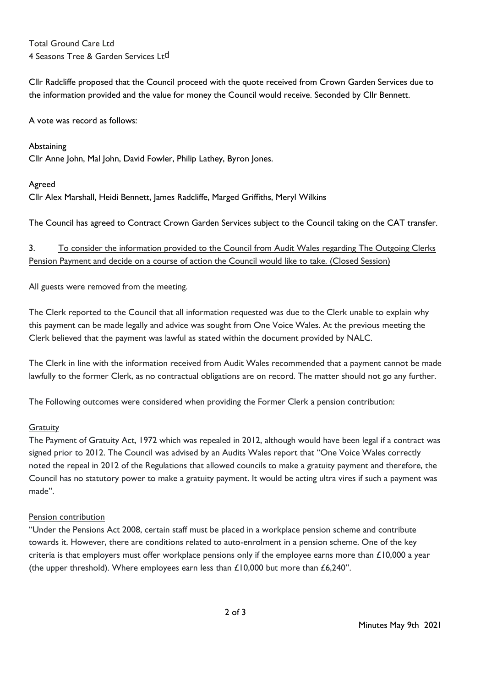Total Ground Care Ltd 4 Seasons Tree & Garden Services Ltd

Cllr Radcliffe proposed that the Council proceed with the quote received from Crown Garden Services due to the information provided and the value for money the Council would receive. Seconded by Cllr Bennett.

A vote was record as follows:

Abstaining Cllr Anne John, Mal John, David Fowler, Philip Lathey, Byron Jones.

#### Agreed

Cllr Alex Marshall, Heidi Bennett, James Radcliffe, Marged Griffiths, Meryl Wilkins

The Council has agreed to Contract Crown Garden Services subject to the Council taking on the CAT transfer.

# 3. To consider the information provided to the Council from Audit Wales regarding The Outgoing Clerks Pension Payment and decide on a course of action the Council would like to take. (Closed Session)

All guests were removed from the meeting.

The Clerk reported to the Council that all information requested was due to the Clerk unable to explain why this payment can be made legally and advice was sought from One Voice Wales. At the previous meeting the Clerk believed that the payment was lawful as stated within the document provided by NALC.

The Clerk in line with the information received from Audit Wales recommended that a payment cannot be made lawfully to the former Clerk, as no contractual obligations are on record. The matter should not go any further.

The Following outcomes were considered when providing the Former Clerk a pension contribution:

## **Gratuity**

The Payment of Gratuity Act, 1972 which was repealed in 2012, although would have been legal if a contract was signed prior to 2012. The Council was advised by an Audits Wales report that "One Voice Wales correctly noted the repeal in 2012 of the Regulations that allowed councils to make a gratuity payment and therefore, the Council has no statutory power to make a gratuity payment. It would be acting ultra vires if such a payment was made".

#### Pension contribution

"Under the Pensions Act 2008, certain staff must be placed in a workplace pension scheme and contribute towards it. However, there are conditions related to auto-enrolment in a pension scheme. One of the key criteria is that employers must offer workplace pensions only if the employee earns more than  $£10,000$  a year (the upper threshold). Where employees earn less than  $£10,000$  but more than  $£6,240"$ .